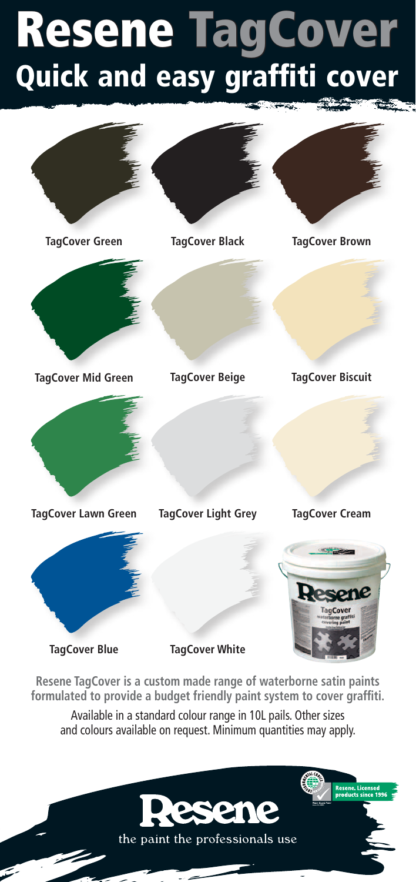## Resene TagCover Quick and easy graffiti cover



**Resene TagCover is a custom made range of waterborne satin paints formulated to provide a budget friendly paint system to cover graffiti.**

Available in a standard colour range in 10L pails. Other sizes and colours available on request. Minimum quantities may apply.